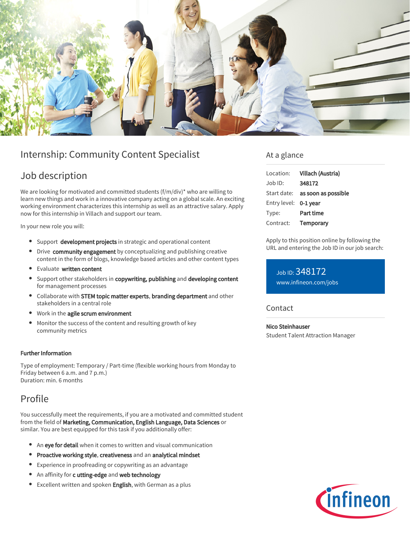

# Internship: Community Content Specialist

## Job description

We are looking for motivated and committed students (f/m/div)\* who are willing to learn new things and work in a innovative company acting on a global scale. An exciting working environment characterizes this internship as well as an attractive salary. Apply now for this internship in Villach and support our team.

In your new role you will:

- **Support development projects** in strategic and operational content
- Drive community engagement by conceptualizing and publishing creative content in the form of blogs, knowledge based articles and other content types
- **•** Evaluate written content
- $\bullet$ Support other stakeholders in copywriting, publishing and developing content for management processes
- Collaborate with STEM topic matter experts, branding department and other stakeholders in a central role
- Work in the agile scrum environment
- Monitor the success of the content and resulting growth of key community metrics

#### Further Information

Type of employment: Temporary / Part-time (flexible working hours from Monday to Friday between 6 a.m. and 7 p.m.) Duration: min. 6 months

## Profile

You successfully meet the requirements, if you are a motivated and committed student from the field of Marketing, Communication, English Language, Data Sciences or similar. You are best equipped for this task if you additionally offer:

- An eve for detail when it comes to written and visual communication
- Proactive working style, creativeness and an analytical mindset
- Experience in proofreading or copywriting as an advantage
- An affinity for c utting-edge and web technology
- **Excellent written and spoken English, with German as a plus**

### At a glance

| Villach (Austria)                      |
|----------------------------------------|
| 348172                                 |
| Start date: <b>as soon as possible</b> |
| Entry level: 0-1 year                  |
| Part time                              |
| Temporary                              |
|                                        |

Apply to this position online by following the URL and entering the Job ID in our job search:

Job ID: 348172 [www.infineon.com/jobs](https://www.infineon.com/jobs)

**Contact** 

Nico Steinhauser Student Talent Attraction Manager